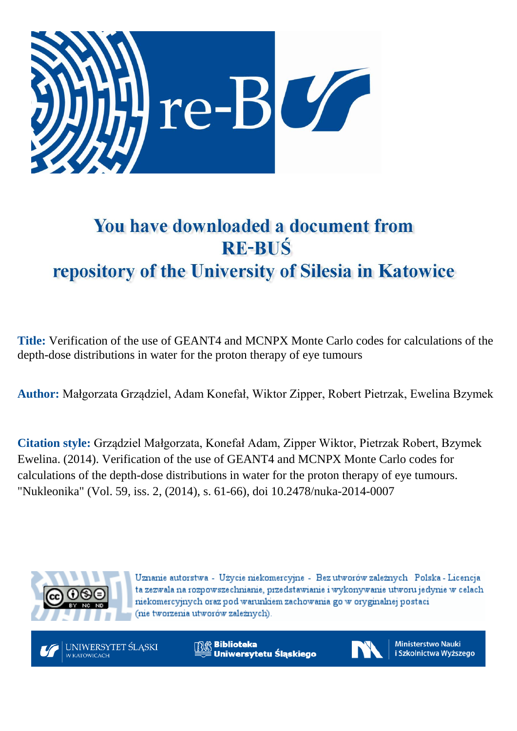

# You have downloaded a document from **RE-BUS** repository of the University of Silesia in Katowice

**Title:** Verification of the use of GEANT4 and MCNPX Monte Carlo codes for calculations of the depth-dose distributions in water for the proton therapy of eye tumours

**Author:** Małgorzata Grządziel, Adam Konefał, Wiktor Zipper, Robert Pietrzak, Ewelina Bzymek

**Citation style:** Grządziel Małgorzata, Konefał Adam, Zipper Wiktor, Pietrzak Robert, Bzymek Ewelina. (2014). Verification of the use of GEANT4 and MCNPX Monte Carlo codes for calculations of the depth-dose distributions in water for the proton therapy of eye tumours. ["Nukleonika"](https://www.scopus.com/sourceid/21100200647?origin=recordpage) (Vol. 59, iss. 2, (2014), s. 61-66), doi 10.2478/nuka-2014-0007



Uznanie autorstwa - Użycie niekomercyjne - Bez utworów zależnych Polska - Licencja ta zezwala na rozpowszechnianie, przedstawianie i wykonywanie utworu jedynie w celach niekomercyjnych oraz pod warunkiem zachowania go w oryginalnej postaci (nie tworzenia utworów zależnych).



**Biblioteka** Uniwersytetu Śląskiego



**Ministerstwo Nauki** i Szkolnictwa Wyższego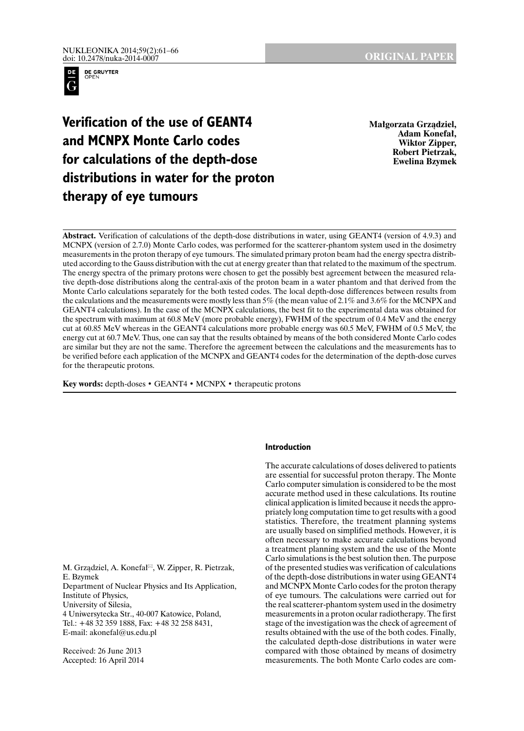

**Verification of the use of GEANT4 and MCNPX Monte Carlo codes for calculations of the depth-dose distributions in water for the proton therapy of eye tumours** 

**Małgorzata Grządziel, Adam Konefał, Wiktor Zipper, Robert Pietrzak, Ewelina Bzymek** 

**Abstract.** Verification of calculations of the depth-dose distributions in water, using GEANT4 (version of 4.9.3) and MCNPX (version of 2.7.0) Monte Carlo codes, was performed for the scatterer-phantom system used in the dosimetry measurements in the proton therapy of eye tumours. The simulated primary proton beam had the energy spectra distributed according to the Gauss distribution with the cut at energy greater than that related to the maximum of the spectrum. The energy spectra of the primary protons were chosen to get the possibly best agreement between the measured relative depth-dose distributions along the central-axis of the proton beam in a water phantom and that derived from the Monte Carlo calculations separately for the both tested codes. The local depth-dose differences between results from the calculations and the measurements were mostly less than 5% (the mean value of 2.1% and 3.6% for the MCNPX and GEANT4 calculations). In the case of the MCNPX calculations, the best fit to the experimental data was obtained for the spectrum with maximum at 60.8 MeV (more probable energy), FWHM of the spectrum of 0.4 MeV and the energy cut at 60.85 MeV whereas in the GEANT4 calculations more probable energy was 60.5 MeV, FWHM of 0.5 MeV, the energy cut at 60.7 MeV. Thus, one can say that the results obtained by means of the both considered Monte Carlo codes are similar but they are not the same. Therefore the agreement between the calculations and the measurements has to be verified before each application of the MCNPX and GEANT4 codes for the determination of the depth-dose curves for the therapeutic protons.

**Key words:** depth-doses • GEANT4 • MCNPX • therapeutic protons

M. Grządziel, A. Konefał<sup>⊠</sup>, W. Zipper, R. Pietrzak, E. Bzymek Department of Nuclear Physics and Its Application, Institute of Physics, University of Silesia, 4 Uniwersytecka Str., 40-007 Katowice, Poland, Tel.: +48 32 359 1888, Fax: +48 32 258 8431, E-mail: akonefal@us.edu.pl

Received: 26 June 2013 Accepted: 16 April 2014

# **Introduction**

The accurate calculations of doses delivered to patients are essential for successful proton therapy. The Monte Carlo computer simulation is considered to be the most accurate method used in these calculations. Its routine clinical application is limited because it needs the appropriately long computation time to get results with a good statistics. Therefore, the treatment planning systems are usually based on simplified methods. However, it is often necessary to make accurate calculations beyond a treatment planning system and the use of the Monte Carlo simulations is the best solution then. The purpose of the presented studies was verification of calculations of the depth-dose distributions in water using GEANT4 and MCNPX Monte Carlo codes for the proton therapy of eye tumours. The calculations were carried out for the real scatterer-phantom system used in the dosimetry measurements in a proton ocular radiotherapy. The first stage of the investigation was the check of agreement of results obtained with the use of the both codes. Finally, the calculated depth-dose distributions in water were compared with those obtained by means of dosimetry measurements. The both Monte Carlo codes are com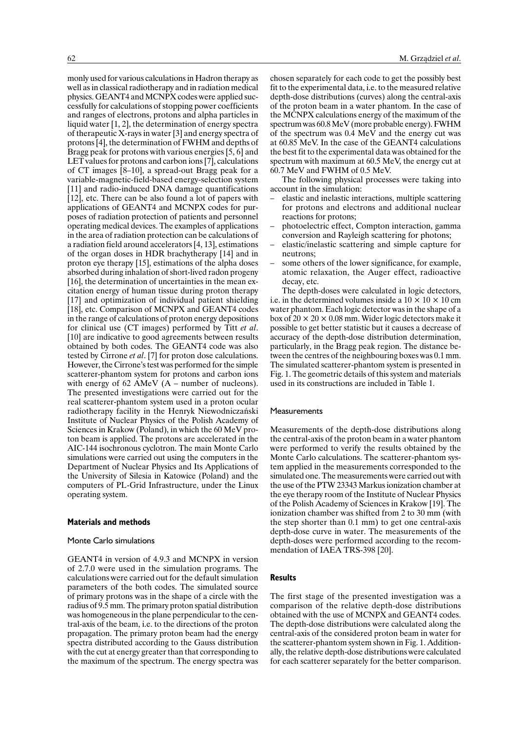monly used for various calculations in Hadron therapy as well as in classical radiotherapy and in radiation medical physics. GEANT4 and MCNPX codes were applied successfully for calculations of stopping power coefficients and ranges of electrons, protons and alpha particles in liquid water [1, 2], the determination of energy spectra of therapeutic X-rays in water [3] and energy spectra of protons [4], the determination of FWHM and depths of Bragg peak for protons with various energies [5, 6] and LET values for protons and carbon ions [7], calculations of CT images [8–10], a spread-out Bragg peak for a variable-magnetic-field-based energy-selection system [11] and radio-induced DNA damage quantifications [12], etc. There can be also found a lot of papers with applications of GEANT4 and MCNPX codes for purposes of radiation protection of patients and personnel operating medical devices. The examples of applications in the area of radiation protection can be calculations of a radiation field around accelerators [4, 13], estimations of the organ doses in HDR brachytherapy [14] and in proton eye therapy [15], estimations of the alpha doses absorbed during inhalation of short-lived radon progeny [16], the determination of uncertainties in the mean excitation energy of human tissue during proton therapy [17] and optimization of individual patient shielding [18], etc. Comparison of MCNPX and GEANT4 codes in the range of calculations of proton energy depositions for clinical use (CT images) performed by Titt *et al*. [10] are indicative to good agreements between results obtained by both codes. The GEANT4 code was also tested by Cirrone *et al*. [7] for proton dose calculations. However, the Cirrone's test was performed for the simple scatterer-phantom system for protons and carbon ions with energy of 62 AMeV  $(A - number of nucleons)$ . The presented investigations were carried out for the real scatterer-phantom system used in a proton ocular radiotherapy facility in the Henryk Niewodniczański Institute of Nuclear Physics of the Polish Academy of Sciences in Krakow (Poland), in which the 60 MeV proton beam is applied. The protons are accelerated in the AIC-144 isochronous cyclotron. The main Monte Carlo simulations were carried out using the computers in the Department of Nuclear Physics and Its Applications of the University of Silesia in Katowice (Poland) and the computers of PL-Grid Infrastructure, under the Linux operating system.

### **Materials and methods**

#### Monte Carlo simulations

GEANT4 in version of 4.9.3 and MCNPX in version of 2.7.0 were used in the simulation programs. The calculations were carried out for the default simulation parameters of the both codes. The simulated source of primary protons was in the shape of a circle with the radius of 9.5 mm. The primary proton spatial distribution was homogeneous in the plane perpendicular to the central-axis of the beam, i.e. to the directions of the proton propagation. The primary proton beam had the energy spectra distributed according to the Gauss distribution with the cut at energy greater than that corresponding to the maximum of the spectrum. The energy spectra was chosen separately for each code to get the possibly best fit to the experimental data, i.e. to the measured relative depth-dose distributions (curves) along the central-axis of the proton beam in a water phantom. In the case of the MCNPX calculations energy of the maximum of the spectrum was 60.8 MeV (more probable energy). FWHM of the spectrum was 0.4 MeV and the energy cut was at 60.85 MeV. In the case of the GEANT4 calculations the best fit to the experimental data was obtained for the spectrum with maximum at 60.5 MeV, the energy cut at 60.7 MeV and FWHM of 0.5 MeV.

The following physical processes were taking into account in the simulation:

- elastic and inelastic interactions, multiple scattering for protons and electrons and additional nuclear reactions for protons;
- photoelectric effect, Compton interaction, gamma conversion and Rayleigh scattering for photons;
- elastic/inelastic scattering and simple capture for neutrons;
- some others of the lower significance, for example, atomic relaxation, the Auger effect, radioactive decay, etc.

The depth-doses were calculated in logic detectors, i.e. in the determined volumes inside a  $10 \times 10 \times 10$  cm water phantom. Each logic detector was in the shape of a box of  $20 \times 20 \times 0.08$  mm. Wider logic detectors make it possible to get better statistic but it causes a decrease of accuracy of the depth-dose distribution determination, particularly, in the Bragg peak region. The distance between the centres of the neighbouring boxes was 0.1 mm. The simulated scatterer-phantom system is presented in Fig. 1. The geometric details of this system and materials used in its constructions are included in Table 1.

#### **Measurements**

Measurements of the depth-dose distributions along the central-axis of the proton beam in a water phantom were performed to verify the results obtained by the Monte Carlo calculations. The scatterer-phantom system applied in the measurements corresponded to the simulated one. The measurements were carried out with the use of the PTW 23343 Markus ionization chamber at the eye therapy room of the Institute of Nuclear Physics of the Polish Academy of Sciences in Krakow [19]. The ionization chamber was shifted from 2 to 30 mm (with the step shorter than 0.1 mm) to get one central-axis depth-dose curve in water. The measurements of the depth-doses were performed according to the recommendation of IAEA TRS-398 [20].

# **Results**

The first stage of the presented investigation was a comparison of the relative depth-dose distributions obtained with the use of MCNPX and GEANT4 codes. The depth-dose distributions were calculated along the central-axis of the considered proton beam in water for the scatterer-phantom system shown in Fig. 1. Additionally, the relative depth-dose distributions were calculated for each scatterer separately for the better comparison.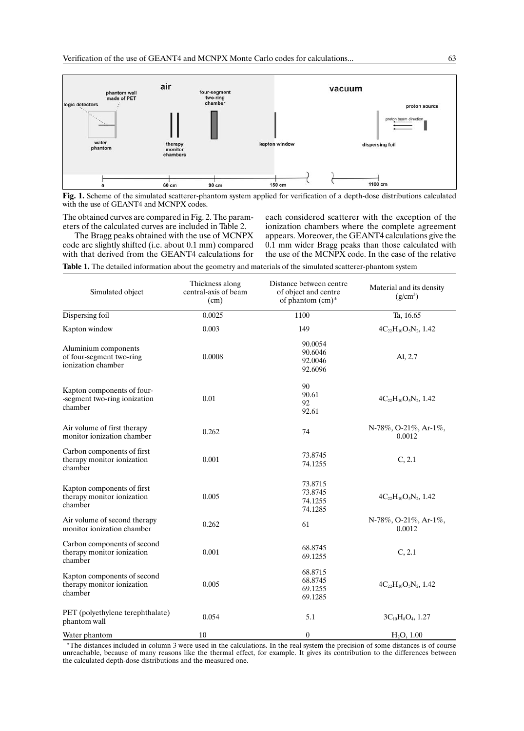

**Fig. 1.** Scheme of the simulated scatterer-phantom system applied for verification of a depth-dose distributions calculated with the use of GEANT4 and MCNPX codes.

The obtained curves are compared in Fig. 2. The parameters of the calculated curves are included in Table 2.

The Bragg peaks obtained with the use of MCNPX code are slightly shifted (i.e. about 0.1 mm) compared with that derived from the GEANT4 calculations for each considered scatterer with the exception of the ionization chambers where the complete agreement appears. Moreover, the GEANT4 calculations give the 0.1 mm wider Bragg peaks than those calculated with the use of the MCNPX code. In the case of the relative

**Table 1.** The detailed information about the geometry and materials of the simulated scatterer-phantom system

| Thickness along<br>central-axis of beam<br>Simulated object<br>(cm)    |        | Distance between centre<br>of object and centre<br>of phantom (cm)* | Material and its density<br>$(g/cm^3)$ |  |
|------------------------------------------------------------------------|--------|---------------------------------------------------------------------|----------------------------------------|--|
| Dispersing foil                                                        | 0.0025 | 1100                                                                | Ta, 16.65                              |  |
| Kapton window                                                          | 0.003  | 149                                                                 | $4C_{22}H_{10}O_5N_2$ , 1.42           |  |
| Aluminium components<br>of four-segment two-ring<br>ionization chamber | 0.0008 | 90.0054<br>90.6046<br>92.0046<br>92.6096                            | Al, 2.7                                |  |
| Kapton components of four-<br>-segment two-ring ionization<br>chamber  | 0.01   | 90<br>90.61<br>92<br>92.61                                          | $4C_{22}H_{10}O_5N_2$ , 1.42           |  |
| Air volume of first therapy<br>monitor ionization chamber              | 0.262  | 74                                                                  | $N-78\%,$ O-21%, Ar-1%,<br>0.0012      |  |
| Carbon components of first<br>therapy monitor ionization<br>chamber    | 0.001  | 73.8745<br>74.1255                                                  | C, 2.1                                 |  |
| Kapton components of first<br>therapy monitor ionization<br>chamber    | 0.005  | 73.8715<br>73.8745<br>74.1255<br>74.1285                            | $4C_{22}H_{10}O_5N_2$ , 1.42           |  |
| Air volume of second therapy<br>monitor ionization chamber             | 0.262  | 61                                                                  | N-78%, O-21%, Ar-1%,<br>0.0012         |  |
| Carbon components of second<br>therapy monitor ionization<br>chamber   | 0.001  | 68.8745<br>69.1255                                                  | C, 2.1                                 |  |
| Kapton components of second<br>therapy monitor ionization<br>chamber   | 0.005  | 68.8715<br>68.8745<br>69.1255<br>69.1285                            | $4C_{22}H_{10}O_5N_2$ , 1.42           |  |
| PET (polyethylene terephthalate)<br>phantom wall                       | 0.054  | 5.1                                                                 | $3C_{10}H_8O_4$ , 1.27                 |  |
| Water phantom                                                          | 10     | $\boldsymbol{0}$                                                    | $H_2O, 1.00$                           |  |

 \*The distances included in column 3 were used in the calculations. In the real system the precision of some distances is of course unreachable, because of many reasons like the thermal effect, for example. It gives its contribution to the differences between the calculated depth-dose distributions and the measured one.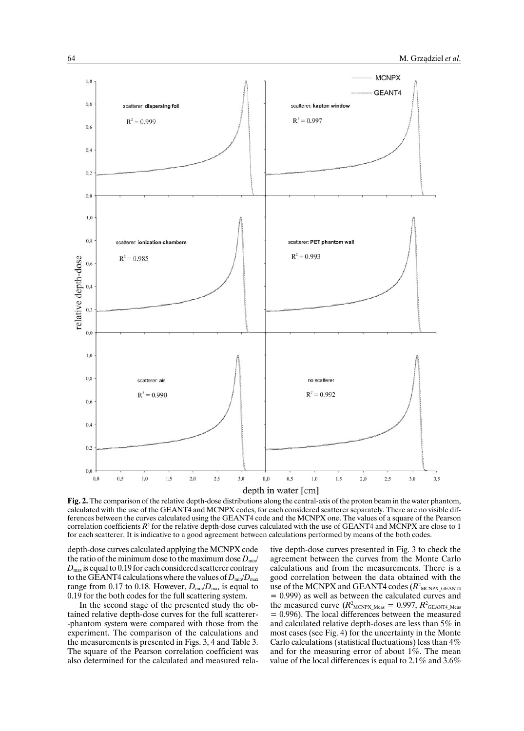

**Fig. 2.** The comparison of the relative depth-dose distributions along the central-axis of the proton beam in the water phantom, calculated with the use of the GEANT4 and MCNPX codes, for each considered scatterer separately. There are no visible differences between the curves calculated using the GEANT4 code and the MCNPX one. The values of a square of the Pearson correlation coefficients  $R^2$  for the relative depth-dose curves calculated with the use of GEANT4 and MCNPX are close to 1 for each scatterer. It is indicative to a good agreement between calculations performed by means of the both codes.

depth-dose curves calculated applying the MCNPX code the ratio of the minimum dose to the maximum dose  $D_{min}$  $D_{\text{max}}$  is equal to 0.19 for each considered scatterer contrary to the GEANT4 calculations where the values of  $D_{\text{min}}/D_{\text{max}}$ range from 0.17 to 0.18. However,  $D_{min}/D_{max}$  is equal to 0.19 for the both codes for the full scattering system.

In the second stage of the presented study the obtained relative depth-dose curves for the full scatterer- -phantom system were compared with those from the experiment. The comparison of the calculations and the measurements is presented in Figs. 3, 4 and Table 3. The square of the Pearson correlation coefficient was also determined for the calculated and measured rela-

tive depth-dose curves presented in Fig. 3 to check the agreement between the curves from the Monte Carlo calculations and from the measurements. There is a good correlation between the data obtained with the use of the MCNPX and GEANT4 codes ( $R^2$ <sub>MCNPX</sub> GEANT4 = 0.999) as well as between the calculated curves and the measured curve  $(R^2_{\text{MCNPX}\_\text{Meas}} = 0.997, R^2_{\text{GEANT4}\_\text{Meas}}$  $= 0.996$ ). The local differences between the measured and calculated relative depth-doses are less than 5% in most cases (see Fig. 4) for the uncertainty in the Monte Carlo calculations (statistical fluctuations) less than 4% and for the measuring error of about 1%. The mean value of the local differences is equal to 2.1% and 3.6%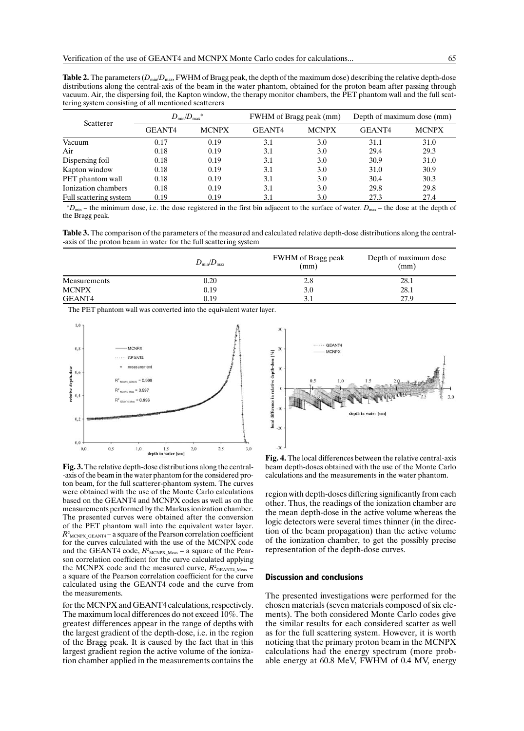**Table 2.** The parameters ( $D_{min}/D_{max}$ , FWHM of Bragg peak, the depth of the maximum dose) describing the relative depth-dose distributions along the central-axis of the beam in the water phantom, obtained for the proton beam after passing through vacuum. Air, the dispersing foil, the Kapton window, the therapy monitor chambers, the PET phantom wall and the full scattering system consisting of all mentioned scatterers

| Scatterer              | $D_{\min}/D_{\max}$ * |              |        | FWHM of Bragg peak (mm) |        | Depth of maximum dose (mm) |  |
|------------------------|-----------------------|--------------|--------|-------------------------|--------|----------------------------|--|
|                        | GEANT4                | <b>MCNPX</b> | GEANT4 | <b>MCNPX</b>            | GEANT4 | <b>MCNPX</b>               |  |
| Vacuum                 | 0.17                  | 0.19         | 3.1    | 3.0                     | 31.1   | 31.0                       |  |
| Air                    | 0.18                  | 0.19         | 3.1    | 3.0                     | 29.4   | 29.3                       |  |
| Dispersing foil        | 0.18                  | 0.19         | 3.1    | 3.0                     | 30.9   | 31.0                       |  |
| Kapton window          | 0.18                  | 0.19         | 3.1    | 3.0                     | 31.0   | 30.9                       |  |
| PET phantom wall       | 0.18                  | 0.19         | 3.1    | 3.0                     | 30.4   | 30.3                       |  |
| Ionization chambers    | 0.18                  | 0.19         | 3.1    | 3.0                     | 29.8   | 29.8                       |  |
| Full scattering system | 0.19                  | 0.19         | 3.1    | 3.0                     | 27.3   | 27.4                       |  |

 $*D_{\text{min}}$  – the minimum dose, i.e. the dose registered in the first bin adjacent to the surface of water.  $D_{\text{max}}$  – the dose at the depth of the Bragg peak.

**Table 3.** The comparison of the parameters of the measured and calculated relative depth-dose distributions along the central- -axis of the proton beam in water for the full scattering system

|              | $D_{\min}/D_{\max}$ | FWHM of Bragg peak<br>(mm) | Depth of maximum dose<br>(mm) |
|--------------|---------------------|----------------------------|-------------------------------|
| Measurements | 0.20                | 2.8                        | 28.1                          |
| <b>MCNPX</b> | 0.19                | 3.0                        | 28.1                          |
| GEANT4       | 0.19                | 3.1                        | 27.9                          |

The PET phantom wall was converted into the equivalent water layer.



**Fig. 3.** The relative depth-dose distributions along the central- -axis of the beam in the water phantom for the considered proton beam, for the full scatterer-phantom system. The curves were obtained with the use of the Monte Carlo calculations based on the GEANT4 and MCNPX codes as well as on the measurements performed by the Markus ionization chamber. The presented curves were obtained after the conversion of the PET phantom wall into the equivalent water layer.  $R<sup>2</sup>$ <sub>MCNPX\_GEANT4</sub> – a square of the Pearson correlation coefficient for the curves calculated with the use of the MCNPX code and the GEANT4 code,  $R_{\text{MCNPX\_Meas}}^2$  – a square of the Pearson correlation coefficient for the curve calculated applying the MCNPX code and the measured curve,  $R^2$ <sub>GEANT4\_Meas</sub> – a square of the Pearson correlation coefficient for the curve calculated using the GEANT4 code and the curve from the measurements.

for the MCNPX and GEANT4 calculations, respectively. The maximum local differences do not exceed  $10\%$ . The greatest differences appear in the range of depths with the largest gradient of the depth-dose, i.e. in the region of the Bragg peak. It is caused by the fact that in this largest gradient region the active volume of the ionization chamber applied in the measurements contains the



**Fig. 4.** The local differences between the relative central-axis beam depth-doses obtained with the use of the Monte Carlo calculations and the measurements in the water phantom.

region with depth-doses differing significantly from each other. Thus, the readings of the ionization chamber are the mean depth-dose in the active volume whereas the logic detectors were several times thinner (in the direction of the beam propagation) than the active volume of the ionization chamber, to get the possibly precise representation of the depth-dose curves.

## **Discussion and conclusions**

The presented investigations were performed for the chosen materials (seven materials composed of six elements). The both considered Monte Carlo codes give the similar results for each considered scatter as well as for the full scattering system. However, it is worth noticing that the primary proton beam in the MCNPX calculations had the energy spectrum (more probable energy at 60.8 MeV, FWHM of 0.4 MV, energy